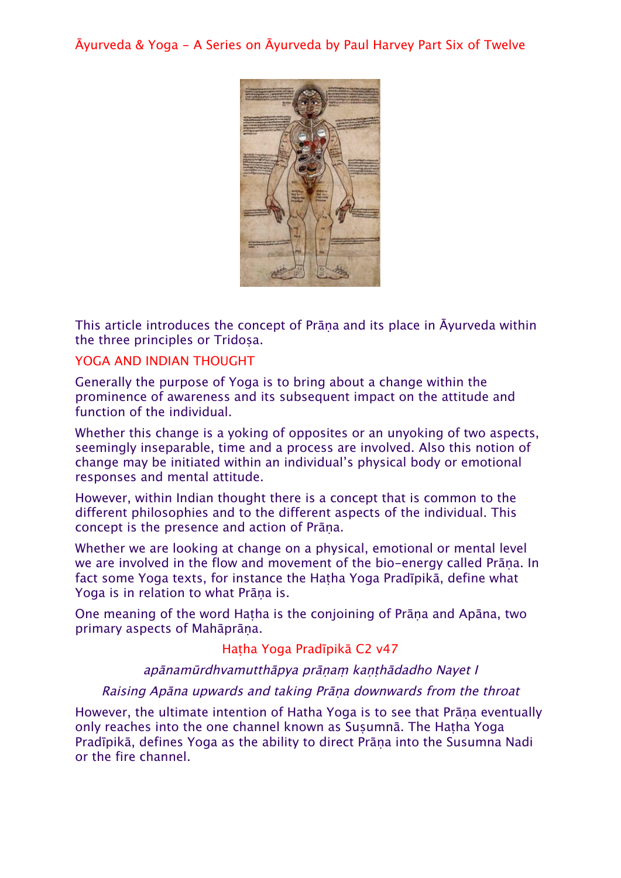Āyurveda & Yoga - A Series on Āyurveda by Paul Harvey Part Six of Twelve



This article introduces the concept of Prāṇa and its place in Āyurveda within the three principles or Tridosa.

#### YOGA AND INDIAN THOUGHT

Generally the purpose of Yoga is to bring about a change within the prominence of awareness and its subsequent impact on the attitude and function of the individual.

Whether this change is a yoking of opposites or an unyoking of two aspects, seemingly inseparable, time and a process are involved. Also this notion of change may be initiated within an individual's physical body or emotional responses and mental attitude.

However, within Indian thought there is a concept that is common to the different philosophies and to the different aspects of the individual. This concept is the presence and action of Prāṇa.

Whether we are looking at change on a physical, emotional or mental level we are involved in the flow and movement of the bio-energy called Prāṇa. In fact some Yoga texts, for instance the Hatha Yoga Pradīpikā, define what Yoga is in relation to what Prāṇa is.

One meaning of the word Haṭha is the conjoining of Prāṇa and Apāna, two primary aspects of Mahāprāṇa.

Haṭha Yoga Pradīpikā C2 v47

apānamūrdhvamutthāpya prāṇaṃ kaṇṭhādadho Nayet I

#### Raising Apāna upwards and taking Prāṇa downwards from the throat

However, the ultimate intention of Hatha Yoga is to see that Prāṇa eventually only reaches into the one channel known as Susumnā. The Hatha Yoga Pradīpikā, defines Yoga as the ability to direct Prāṇa into the Susumna Nadi or the fire channel.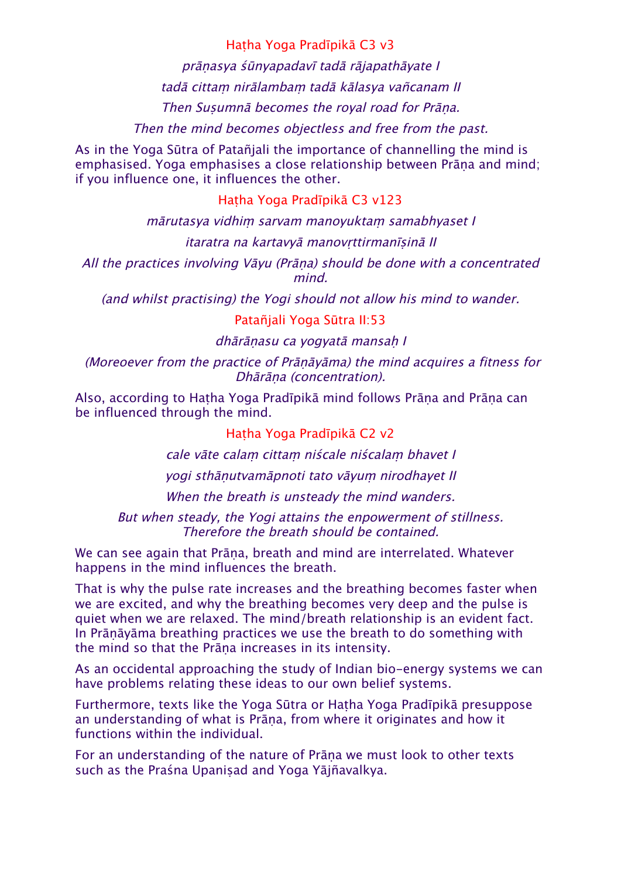Haṭha Yoga Pradīpikā C3 v3

prāṇasya śūnyapadavī tadā rājapathāyate I

tadā cittaṃ nirālambaṃ tadā kālasya vañcanam II

Then Suṣumnā becomes the royal road for Prāṇa.

Then the mind becomes objectless and free from the past.

As in the Yoga Sūtra of Patañjali the importance of channelling the mind is emphasised. Yoga emphasises a close relationship between Prāṇa and mind; if you influence one, it influences the other.

Haṭha Yoga Pradīpikā C3 v123

<sup>m</sup>ārutasya vidhiṃ sarvam manoyuktaṃ samabhyaset I

# itaratra na kartavyā manovṛttirmanīṣinā II

All the practices involving Vāyu (Prāṇa) should be done with a concentrated mind.

(and whilst practising) the Yogi should not allow his mind to wander.

# Patañjali Yoga Sūtra II:53

dhārānasu ca yogyatā mansah I

(Moreoever from the practice of Prāṇāyāma) the mind acquires a fitness for Dhārāṇa (concentration).

Also, according to Haṭha Yoga Pradīpikā mind follows Prāṇa and Prāṇa can be influenced through the mind.

# Haṭha Yoga Pradīpikā C2 v2

cale vāte calaṃ cittaṃ niścale niścalaṃ bhavet I

yogi sthāṇutvamāpnoti tato vāyuṃ nirodhayet II

When the breath is unsteady the mind wanders.

But when steady, the Yogi attains the enpowerment of stillness. Therefore the breath should be contained.

We can see again that Prāṇa, breath and mind are interrelated. Whatever happens in the mind influences the breath.

That is why the pulse rate increases and the breathing becomes faster when we are excited, and why the breathing becomes very deep and the pulse is quiet when we are relaxed. The mind/breath relationship is an evident fact. In Prāṇāyāma breathing practices we use the breath to do something with the mind so that the Prāṇa increases in its intensity.

As an occidental approaching the study of Indian bio-energy systems we can have problems relating these ideas to our own belief systems.

Furthermore, texts like the Yoga Sūtra or Haṭha Yoga Pradīpikā presuppose an understanding of what is Prāṇa, from where it originates and how it functions within the individual.

For an understanding of the nature of Prāṇa we must look to other texts such as the Praśna Upanisad and Yoga Yājñavalkya.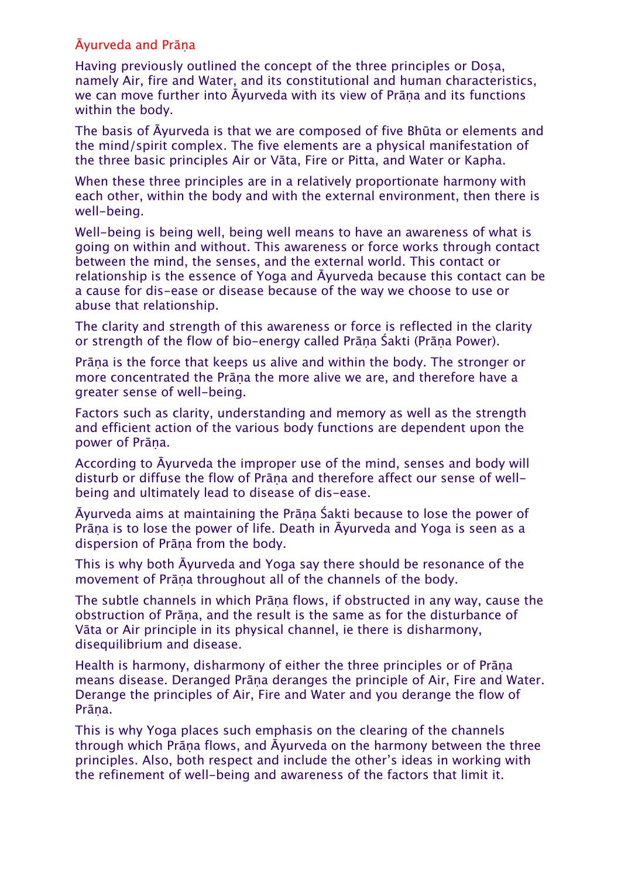# Āyurveda and Prāṇa

Having previously outlined the concept of the three principles or Dosa, namely Air, fire and Water, and its constitutional and human characteristics, we can move further into Āyurveda with its view of Prāṇa and its functions within the body.

The basis of Āyurveda is that we are composed of five Bhūta or elements and the mind/spirit complex. The five elements are a physical manifestation of the three basic principles Air or Vāta, Fire or Pitta, and Water or Kapha.

When these three principles are in a relatively proportionate harmony with each other, within the body and with the external environment, then there is well-being.

Well-being is being well, being well means to have an awareness of what is going on within and without. This awareness or force works through contact between the mind, the senses, and the external world. This contact or relationship is the essence of Yoga and Āyurveda because this contact can be a cause for dis-ease or disease because of the way we choose to use or abuse that relationship.

The clarity and strength of this awareness or force is reflected in the clarity or strength of the flow of bio-energy called Prāṇa Śakti (Prāṇa Power).

Prāṇa is the force that keeps us alive and within the body. The stronger or more concentrated the Prāṇa the more alive we are, and therefore have a greater sense of well-being.

Factors such as clarity, understanding and memory as well as the strength and efficient action of the various body functions are dependent upon the power of Prāṇa.

According to Āyurveda the improper use of the mind, senses and body will disturb or diffuse the flow of Prāṇa and therefore affect our sense of wellbeing and ultimately lead to disease of dis-ease.

Āyurveda aims at maintaining the Prāṇa Śakti because to lose the power of Prāṇa is to lose the power of life. Death in Āyurveda and Yoga is seen as a dispersion of Prāṇa from the body.

This is why both Āyurveda and Yoga say there should be resonance of the movement of Prāṇa throughout all of the channels of the body.

The subtle channels in which Prāṇa flows, if obstructed in any way, cause the obstruction of Prāṇa, and the result is the same as for the disturbance of Vāta or Air principle in its physical channel, ie there is disharmony, disequilibrium and disease.

Health is harmony, disharmony of either the three principles or of Prāṇa means disease. Deranged Prāṇa deranges the principle of Air, Fire and Water. Derange the principles of Air, Fire and Water and you derange the flow of Prāna.

This is why Yoga places such emphasis on the clearing of the channels through which Prāṇa flows, and Āyurveda on the harmony between the three principles. Also, both respect and include the other's ideas in working with the refinement of well-being and awareness of the factors that limit it.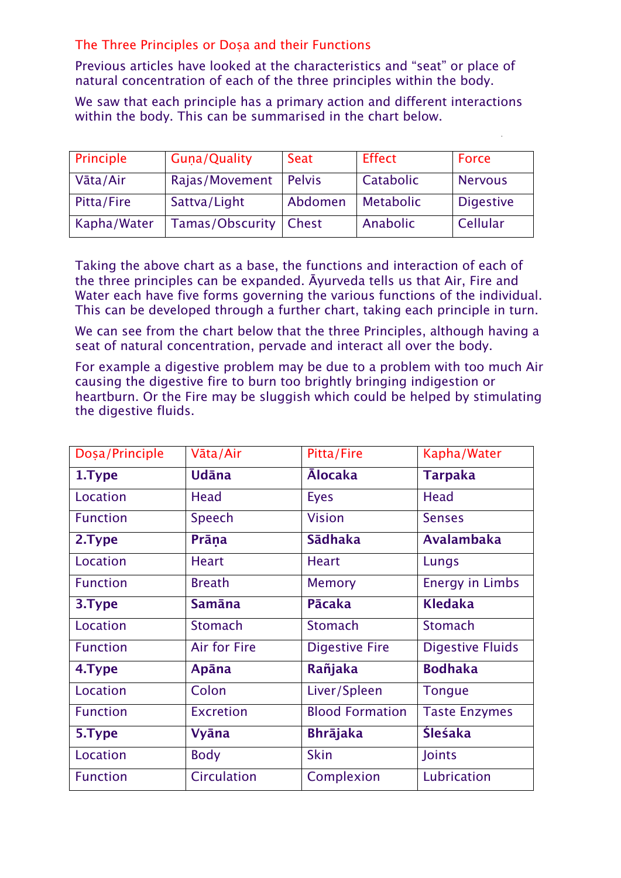The Three Principles or Doṣa and their Functions

Previous articles have looked at the characteristics and "seat" or place of natural concentration of each of the three principles within the body.

We saw that each principle has a primary action and different interactions within the body. This can be summarised in the chart below.

| Principle   | <b>Guna/Quality</b> | Seat          | <b>Effect</b>    | Force            |
|-------------|---------------------|---------------|------------------|------------------|
| Vāta/Air    | Rajas/Movement      | <b>Pelvis</b> | Catabolic        | <b>Nervous</b>   |
| Pitta/Fire  | Sattva/Light        | Abdomen       | <b>Metabolic</b> | <b>Digestive</b> |
| Kapha/Water | Tamas/Obscurity     | ∣ Chest       | Anabolic         | Cellular         |

Taking the above chart as a base, the functions and interaction of each of the three principles can be expanded. Āyurveda tells us that Air, Fire and Water each have five forms governing the various functions of the individual. This can be developed through a further chart, taking each principle in turn.

We can see from the chart below that the three Principles, although having a seat of natural concentration, pervade and interact all over the body.

For example a digestive problem may be due to a problem with too much Air causing the digestive fire to burn too brightly bringing indigestion or heartburn. Or the Fire may be sluggish which could be helped by stimulating the digestive fluids.

| Doșa/Principle  | Vāta/Air         | Pitta/Fire             | Kapha/Water             |
|-----------------|------------------|------------------------|-------------------------|
| 1.Type          | Udāna            | <b>Alocaka</b>         | <b>Tarpaka</b>          |
| Location        | Head             | <b>Eyes</b>            | <b>Head</b>             |
| <b>Function</b> | Speech           | <b>Vision</b>          | <b>Senses</b>           |
| 2.Type          | Prāna            | <b>Sādhaka</b>         | <b>Avalambaka</b>       |
| Location        | <b>Heart</b>     | <b>Heart</b>           | Lungs                   |
| <b>Function</b> | <b>Breath</b>    | <b>Memory</b>          | <b>Energy in Limbs</b>  |
| 3.Type          | <b>Samāna</b>    | Pācaka                 | <b>Kledaka</b>          |
| Location        | <b>Stomach</b>   | <b>Stomach</b>         | <b>Stomach</b>          |
| <b>Function</b> | Air for Fire     | <b>Digestive Fire</b>  | <b>Digestive Fluids</b> |
| 4.Type          | Apāna            | Rañjaka                | <b>Bodhaka</b>          |
| Location        | Colon            | Liver/Spleen           | <b>Tongue</b>           |
| <b>Function</b> | <b>Excretion</b> | <b>Blood Formation</b> | <b>Taste Enzymes</b>    |
| 5.Type          | <b>Vyāna</b>     | <b>Bhrājaka</b>        | Śleśaka                 |
| Location        | <b>Body</b>      | <b>Skin</b><br>Joints  |                         |
| <b>Function</b> | Circulation      | Complexion             | Lubrication             |